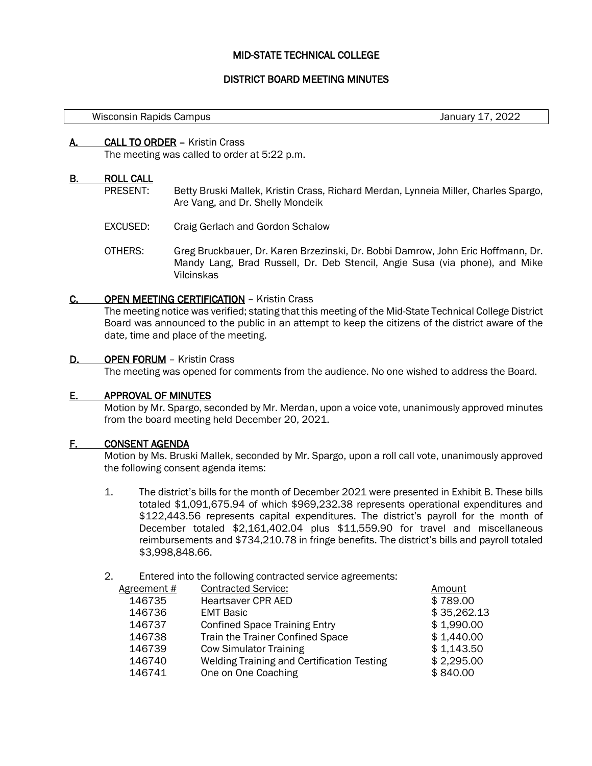# MID-STATE TECHNICAL COLLEGE

## DISTRICT BOARD MEETING MINUTES

| <b>Wisconsin Rapids Campus</b> |  |  |
|--------------------------------|--|--|
|--------------------------------|--|--|

January 17, 2022

## A. CALL TO ORDER – Kristin Crass

The meeting was called to order at 5:22 p.m.

### B. ROLL CALL

- PRESENT: Betty Bruski Mallek, Kristin Crass, Richard Merdan, Lynneia Miller, Charles Spargo, Are Vang, and Dr. Shelly Mondeik
- EXCUSED: Craig Gerlach and Gordon Schalow
- OTHERS: Greg Bruckbauer, Dr. Karen Brzezinski, Dr. Bobbi Damrow, John Eric Hoffmann, Dr. Mandy Lang, Brad Russell, Dr. Deb Stencil, Angie Susa (via phone), and Mike Vilcinskas

### C. OPEN MEETING CERTIFICATION – Kristin Crass

The meeting notice was verified; stating that this meeting of the Mid-State Technical College District Board was announced to the public in an attempt to keep the citizens of the district aware of the date, time and place of the meeting.

### D. OPEN FORUM - Kristin Crass

The meeting was opened for comments from the audience. No one wished to address the Board.

## E. APPROVAL OF MINUTES

Motion by Mr. Spargo, seconded by Mr. Merdan, upon a voice vote, unanimously approved minutes from the board meeting held December 20, 2021.

#### F. CONSENT AGENDA

Motion by Ms. Bruski Mallek, seconded by Mr. Spargo, upon a roll call vote, unanimously approved the following consent agenda items:

- 1. The district's bills for the month of December 2021 were presented in Exhibit B. These bills totaled \$1,091,675.94 of which \$969,232.38 represents operational expenditures and \$122,443.56 represents capital expenditures. The district's payroll for the month of December totaled \$2,161,402.04 plus \$11,559.90 for travel and miscellaneous reimbursements and \$734,210.78 in fringe benefits. The district's bills and payroll totaled \$3,998,848.66.
- 2. Entered into the following contracted service agreements:

| Agreement # | <b>Contracted Service:</b>                        | Amount      |
|-------------|---------------------------------------------------|-------------|
| 146735      | <b>Heartsaver CPR AED</b>                         | \$789.00    |
| 146736      | <b>EMT Basic</b>                                  | \$35,262.13 |
| 146737      | <b>Confined Space Training Entry</b>              | \$1,990.00  |
| 146738      | Train the Trainer Confined Space                  | \$1,440.00  |
| 146739      | <b>Cow Simulator Training</b>                     | \$1,143.50  |
| 146740      | <b>Welding Training and Certification Testing</b> | \$2,295.00  |
| 146741      | One on One Coaching                               | \$840.00    |
|             |                                                   |             |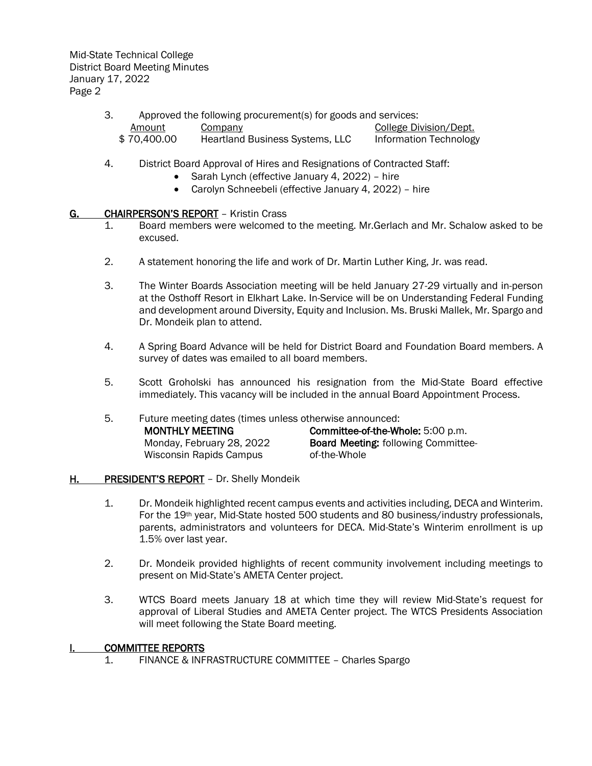Mid-State Technical College District Board Meeting Minutes January 17, 2022 Page 2

- 3. Approved the following procurement(s) for goods and services:
	- Amount Company<br>
	\$70,400.00 Heartland Business Systems, LLC Information Technology Heartland Business Systems, LLC Information Technology
- 4. District Board Approval of Hires and Resignations of Contracted Staff:
	- Sarah Lynch (effective January 4, 2022) hire
	- Carolyn Schneebeli (effective January 4, 2022) hire

# G. CHAIRPERSON'S REPORT - Kristin Crass

- 1. Board members were welcomed to the meeting. Mr.Gerlach and Mr. Schalow asked to be excused.
- 2. A statement honoring the life and work of Dr. Martin Luther King, Jr. was read.
- 3. The Winter Boards Association meeting will be held January 27-29 virtually and in-person at the Osthoff Resort in Elkhart Lake. In-Service will be on Understanding Federal Funding and development around Diversity, Equity and Inclusion. Ms. Bruski Mallek, Mr. Spargo and Dr. Mondeik plan to attend.
- 4. A Spring Board Advance will be held for District Board and Foundation Board members. A survey of dates was emailed to all board members.
- 5. Scott Groholski has announced his resignation from the Mid-State Board effective immediately. This vacancy will be included in the annual Board Appointment Process.

#### 5. Future meeting dates (times unless otherwise announced: MONTHLY MEETING Monday, February 28, 2022 Wisconsin Rapids Campus Committee-of-the-Whole: 5:00 p.m. Board Meeting: following Committeeof-the-Whole

- H. PRESIDENT'S REPORT Dr. Shelly Mondeik
	- 1. Dr. Mondeik highlighted recent campus events and activities including, DECA and Winterim. For the 19<sup>th</sup> year, Mid-State hosted 500 students and 80 business/industry professionals, parents, administrators and volunteers for DECA. Mid-State's Winterim enrollment is up 1.5% over last year.
	- 2. Dr. Mondeik provided highlights of recent community involvement including meetings to present on Mid-State's AMETA Center project.
	- 3. WTCS Board meets January 18 at which time they will review Mid-State's request for approval of Liberal Studies and AMETA Center project. The WTCS Presidents Association will meet following the State Board meeting.

# I. COMMITTEE REPORTS

1. FINANCE & INFRASTRUCTURE COMMITTEE – Charles Spargo